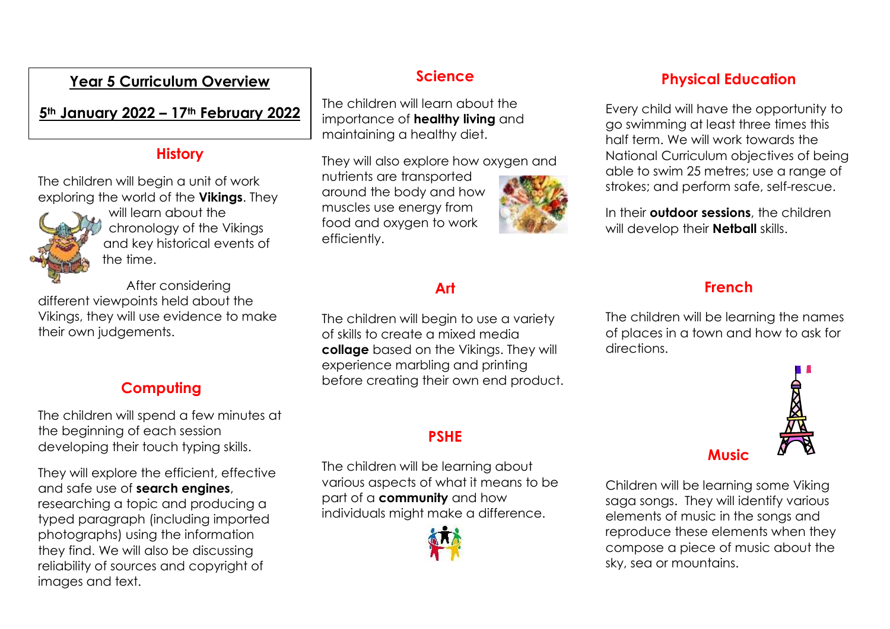#### **Year 5 Curriculum Overview**

**5th January 2022 – 17th February 2022**

#### **History**

The children will begin a unit of work exploring the world of the **Vikings**. They



will learn about the chronology of the Vikings and key historical events of the time.

After considering different viewpoints held about the Vikings, they will use evidence to make their own judgements.

## **Computing**

The children will spend a few minutes at the beginning of each session developing their touch typing skills.

They will explore the efficient, effective and safe use of **search engines**, researching a topic and producing a typed paragraph (including imported photographs) using the information they find. We will also be discussing reliability of sources and copyright of images and text.

#### **Science**

The children will learn about the importance of **healthy living** and maintaining a healthy diet.

They will also explore how oxygen and

nutrients are transported around the body and how muscles use energy from food and oxygen to work efficiently.



# **Art**

The children will begin to use a variety of skills to create a mixed media **collage** based on the Vikings. They will experience marbling and printing before creating their own end product.

#### **PSHE**

The children will be learning about various aspects of what it means to be part of a **community** and how individuals might make a difference.



#### **Physical Education**

Every child will have the opportunity to go swimming at least three times this half term. We will work towards the National Curriculum objectives of being able to swim 25 metres; use a range of strokes; and perform safe, self-rescue.

In their **outdoor sessions**, the children will develop their **Netball** skills.

## **French**

The children will be learning the names of places in a town and how to ask for directions.



Children will be learning some Viking saga songs. They will identify various elements of music in the songs and reproduce these elements when they compose a piece of music about the sky, sea or mountains.